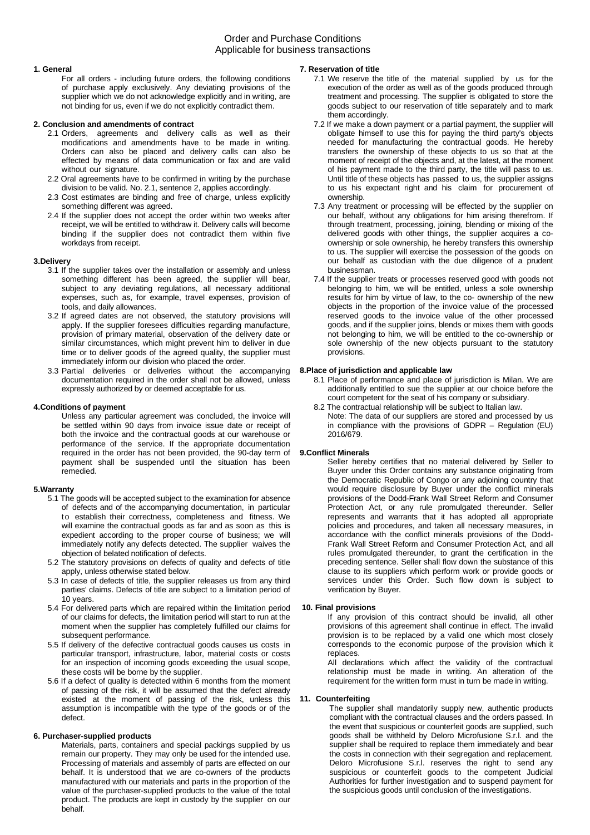# Order and Purchase Conditions Applicable for business transactions

### **1. General**

For all orders - including future orders, the following conditions of purchase apply exclusively. Any deviating provisions of the supplier which we do not acknowledge explicitly and in writing, are not binding for us, even if we do not explicitly contradict them.

# **2. Conclusion and amendments of contract**

- 2.1 Orders, agreements and delivery calls as well as their modifications and amendments have to be made in writing. Orders can also be placed and delivery calls can also be effected by means of data communication or fax and are valid without our signature.
- 2.2 Oral agreements have to be confirmed in writing by the purchase division to be valid. No. 2.1, sentence 2, applies accordingly.
- 2.3 Cost estimates are binding and free of charge, unless explicitly something different was agreed.
- 2.4 If the supplier does not accept the order within two weeks after receipt, we will be entitled to withdraw it. Delivery calls will become binding if the supplier does not contradict them within five workdays from receipt.

### **3.Delivery**

- 3.1 If the supplier takes over the installation or assembly and unless something different has been agreed, the supplier will bear, subject to any deviating regulations, all necessary additional expenses, such as, for example, travel expenses, provision of tools, and daily allowances.
- 3.2 If agreed dates are not observed, the statutory provisions will apply. If the supplier foresees difficulties regarding manufacture, provision of primary material, observation of the delivery date or similar circumstances, which might prevent him to deliver in due time or to deliver goods of the agreed quality, the supplier must immediately inform our division who placed the order.
- 3.3 Partial deliveries or deliveries without the accompanying documentation required in the order shall not be allowed, unless expressly authorized by or deemed acceptable for us.

### **4.Conditions of payment**

Unless any particular agreement was concluded, the invoice will be settled within 90 days from invoice issue date or receipt of both the invoice and the contractual goods at our warehouse or performance of the service. If the appropriate documentation required in the order has not been provided, the 90-day term of payment shall be suspended until the situation has been remedied.

#### **5.Warranty**

- 5.1 The goods will be accepted subject to the examination for absence of defects and of the accompanying documentation, in particular to establish their correctness, completeness and fitness. We will examine the contractual goods as far and as soon as this is expedient according to the proper course of business; we will immediately notify any defects detected. The supplier waives the objection of belated notification of defects.
- 5.2 The statutory provisions on defects of quality and defects of title apply, unless otherwise stated below.
- 5.3 In case of defects of title, the supplier releases us from any third parties' claims. Defects of title are subject to a limitation period of 10 years.
- 5.4 For delivered parts which are repaired within the limitation period of our claims for defects, the limitation period will start to run at the moment when the supplier has completely fulfilled our claims for subsequent performance.
- 5.5 If delivery of the defective contractual goods causes us costs in particular transport, infrastructure, labor, material costs or costs for an inspection of incoming goods exceeding the usual scope, these costs will be borne by the supplier.
- 5.6 If a defect of quality is detected within 6 months from the moment of passing of the risk, it will be assumed that the defect already existed at the moment of passing of the risk, unless this assumption is incompatible with the type of the goods or of the defect.

### **6. Purchaser-supplied products**

Materials, parts, containers and special packings supplied by us remain our property. They may only be used for the intended use. Processing of materials and assembly of parts are effected on our behalf. It is understood that we are co-owners of the products manufactured with our materials and parts in the proportion of the value of the purchaser-supplied products to the value of the total product. The products are kept in custody by the supplier on our behalf.

## **7. Reservation of title**

- 7.1 We reserve the title of the material supplied by us for the execution of the order as well as of the goods produced through treatment and processing. The supplier is obligated to store the goods subject to our reservation of title separately and to mark them accordingly.
- 7.2 If we make a down payment or a partial payment, the supplier will obligate himself to use this for paying the third party's objects needed for manufacturing the contractual goods. He hereby transfers the ownership of these objects to us so that at the moment of receipt of the objects and, at the latest, at the moment of his payment made to the third party, the title will pass to us. Until title of these objects has passed to us, the supplier assigns to us his expectant right and his claim for procurement of ownership.
- 7.3 Any treatment or processing will be effected by the supplier on our behalf, without any obligations for him arising therefrom. If through treatment, processing, joining, blending or mixing of the delivered goods with other things, the supplier acquires a coownership or sole ownership, he hereby transfers this ownership to us. The supplier will exercise the possession of the goods on our behalf as custodian with the due diligence of a prudent businessman.
- 7.4 If the supplier treats or processes reserved good with goods not belonging to him, we will be entitled, unless a sole ownership results for him by virtue of law, to the co- ownership of the new objects in the proportion of the invoice value of the processed reserved goods to the invoice value of the other processed goods, and if the supplier joins, blends or mixes them with goods not belonging to him, we will be entitled to the co-ownership or sole ownership of the new objects pursuant to the statutory provisions.

### **8.Place of jurisdiction and applicable law**

- 8.1 Place of performance and place of jurisdiction is Milan. We are additionally entitled to sue the supplier at our choice before the court competent for the seat of his company or subsidiary.
- 8.2 The contractual relationship will be subject to Italian law. Note: The data of our suppliers are stored and processed by us in compliance with the provisions of GDPR – Regulation (EU) 2016/679.

### **9.Conflict Minerals**

Seller hereby certifies that no material delivered by Seller to Buyer under this Order contains any substance originating from the Democratic Republic of Congo or any adjoining country that would require disclosure by Buyer under the conflict minerals provisions of the Dodd-Frank Wall Street Reform and Consumer Protection Act, or any rule promulgated thereunder. Seller represents and warrants that it has adopted all appropriate policies and procedures, and taken all necessary measures, in accordance with the conflict minerals provisions of the Dodd-Frank Wall Street Reform and Consumer Protection Act, and all rules promulgated thereunder, to grant the certification in the preceding sentence. Seller shall flow down the substance of this clause to its suppliers which perform work or provide goods or services under this Order. Such flow down is subject to verification by Buyer.

### **10. Final provisions**

If any provision of this contract should be invalid, all other provisions of this agreement shall continue in effect. The invalid provision is to be replaced by a valid one which most closely corresponds to the economic purpose of the provision which it replaces.

All declarations which affect the validity of the contractual relationship must be made in writing. An alteration of the requirement for the written form must in turn be made in writing.

#### **11. Counterfeiting**

The supplier shall mandatorily supply new, authentic products compliant with the contractual clauses and the orders passed. In the event that suspicious or counterfeit goods are supplied, such goods shall be withheld by Deloro Microfusione S.r.l. and the supplier shall be required to replace them immediately and bear the costs in connection with their segregation and replacement. Deloro Microfusione S.r.l. reserves the right to send any suspicious or counterfeit goods to the competent Judicial Authorities for further investigation and to suspend payment for the suspicious goods until conclusion of the investigations.